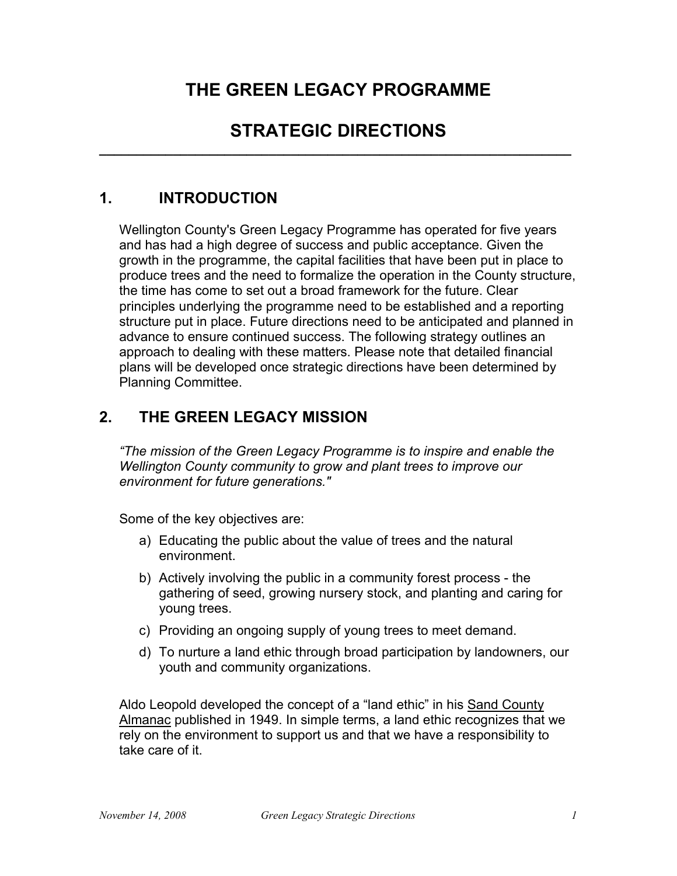# **THE GREEN LEGACY PROGRAMME**

# STRATEGIC DIRECTIONS

# **1. INTRODUCTION**

Wellington County's Green Legacy Programme has operated for five years and has had a high degree of success and public acceptance. Given the growth in the programme, the capital facilities that have been put in place to produce trees and the need to formalize the operation in the County structure, the time has come to set out a broad framework for the future. Clear principles underlying the programme need to be established and a reporting structure put in place. Future directions need to be anticipated and planned in advance to ensure continued success. The following strategy outlines an approach to dealing with these matters. Please note that detailed financial plans will be developed once strategic directions have been determined by Planning Committee.

# **2. THE GREEN LEGACY MISSION**

*"The mission of the Green Legacy Programme is to inspire and enable the Wellington County community to grow and plant trees to improve our environment for future generations."*

Some of the key objectives are:

- a) Educating the public about the value of trees and the natural environment.
- b) Actively involving the public in a community forest process the gathering of seed, growing nursery stock, and planting and caring for young trees.
- c) Providing an ongoing supply of young trees to meet demand.
- d) To nurture a land ethic through broad participation by landowners, our youth and community organizations.

Aldo Leopold developed the concept of a "land ethic" in his Sand County Almanac published in 1949. In simple terms, a land ethic recognizes that we rely on the environment to support us and that we have a responsibility to take care of it.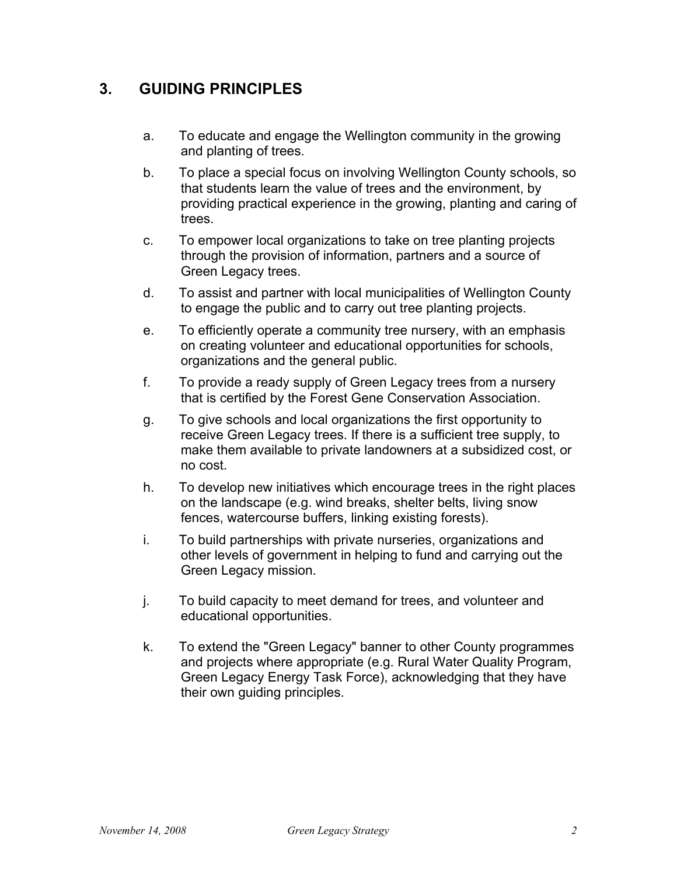# **3. GUIDING PRINCIPLES**

- a. To educate and engage the Wellington community in the growing and planting of trees.
- b. To place a special focus on involving Wellington County schools, so that students learn the value of trees and the environment, by providing practical experience in the growing, planting and caring of trees.
- c. To empower local organizations to take on tree planting projects through the provision of information, partners and a source of Green Legacy trees.
- d. To assist and partner with local municipalities of Wellington County to engage the public and to carry out tree planting projects.
- e. To efficiently operate a community tree nursery, with an emphasis on creating volunteer and educational opportunities for schools, organizations and the general public.
- f. To provide a ready supply of Green Legacy trees from a nursery that is certified by the Forest Gene Conservation Association.
- g. To give schools and local organizations the first opportunity to receive Green Legacy trees. If there is a sufficient tree supply, to make them available to private landowners at a subsidized cost, or no cost.
- h. To develop new initiatives which encourage trees in the right places on the landscape (e.g. wind breaks, shelter belts, living snow fences, watercourse buffers, linking existing forests).
- i. To build partnerships with private nurseries, organizations and other levels of government in helping to fund and carrying out the Green Legacy mission.
- j. To build capacity to meet demand for trees, and volunteer and educational opportunities.
- k. To extend the "Green Legacy" banner to other County programmes and projects where appropriate (e.g. Rural Water Quality Program, Green Legacy Energy Task Force), acknowledging that they have their own guiding principles.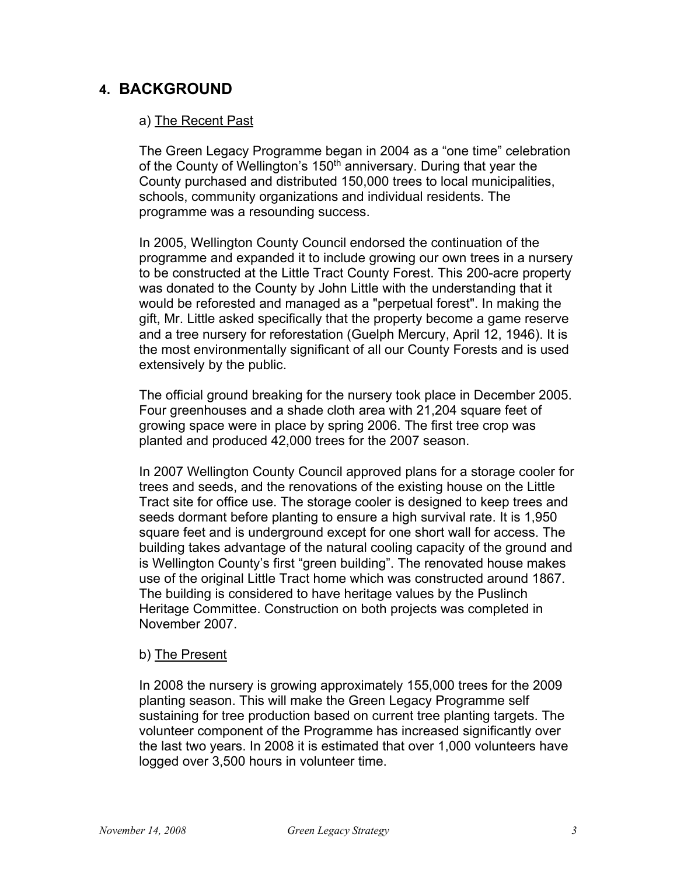# **4. BACKGROUND**

### a) The Recent Past

The Green Legacy Programme began in 2004 as a "one time" celebration of the County of Wellington's 150<sup>th</sup> anniversary. During that year the County purchased and distributed 150,000 trees to local municipalities, schools, community organizations and individual residents. The programme was a resounding success.

In 2005, Wellington County Council endorsed the continuation of the programme and expanded it to include growing our own trees in a nursery to be constructed at the Little Tract County Forest. This 200-acre property was donated to the County by John Little with the understanding that it would be reforested and managed as a "perpetual forest". In making the gift, Mr. Little asked specifically that the property become a game reserve and a tree nursery for reforestation (Guelph Mercury, April 12, 1946). It is the most environmentally significant of all our County Forests and is used extensively by the public.

The official ground breaking for the nursery took place in December 2005. Four greenhouses and a shade cloth area with 21,204 square feet of growing space were in place by spring 2006. The first tree crop was planted and produced 42,000 trees for the 2007 season.

In 2007 Wellington County Council approved plans for a storage cooler for trees and seeds, and the renovations of the existing house on the Little Tract site for office use. The storage cooler is designed to keep trees and seeds dormant before planting to ensure a high survival rate. It is 1,950 square feet and is underground except for one short wall for access. The building takes advantage of the natural cooling capacity of the ground and is Wellington County's first "green building". The renovated house makes use of the original Little Tract home which was constructed around 1867. The building is considered to have heritage values by the Puslinch Heritage Committee. Construction on both projects was completed in November 2007.

#### b) The Present

In 2008 the nursery is growing approximately 155,000 trees for the 2009 planting season. This will make the Green Legacy Programme self sustaining for tree production based on current tree planting targets. The volunteer component of the Programme has increased significantly over the last two years. In 2008 it is estimated that over 1,000 volunteers have logged over 3,500 hours in volunteer time.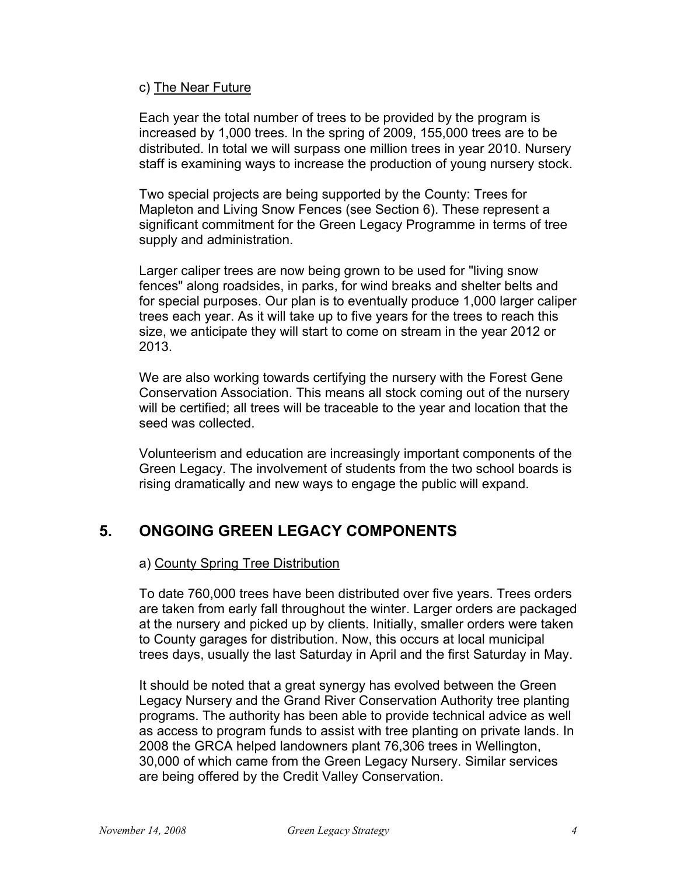#### c) The Near Future

Each year the total number of trees to be provided by the program is increased by 1,000 trees. In the spring of 2009, 155,000 trees are to be distributed. In total we will surpass one million trees in year 2010. Nursery staff is examining ways to increase the production of young nursery stock.

Two special projects are being supported by the County: Trees for Mapleton and Living Snow Fences (see Section 6). These represent a significant commitment for the Green Legacy Programme in terms of tree supply and administration.

Larger caliper trees are now being grown to be used for "living snow fences" along roadsides, in parks, for wind breaks and shelter belts and for special purposes. Our plan is to eventually produce 1,000 larger caliper trees each year. As it will take up to five years for the trees to reach this size, we anticipate they will start to come on stream in the year 2012 or 2013.

We are also working towards certifying the nursery with the Forest Gene Conservation Association. This means all stock coming out of the nursery will be certified; all trees will be traceable to the year and location that the seed was collected.

Volunteerism and education are increasingly important components of the Green Legacy. The involvement of students from the two school boards is rising dramatically and new ways to engage the public will expand.

# **5. ONGOING GREEN LEGACY COMPONENTS**

# a) County Spring Tree Distribution

To date 760,000 trees have been distributed over five years. Trees orders are taken from early fall throughout the winter. Larger orders are packaged at the nursery and picked up by clients. Initially, smaller orders were taken to County garages for distribution. Now, this occurs at local municipal trees days, usually the last Saturday in April and the first Saturday in May.

It should be noted that a great synergy has evolved between the Green Legacy Nursery and the Grand River Conservation Authority tree planting programs. The authority has been able to provide technical advice as well as access to program funds to assist with tree planting on private lands. In 2008 the GRCA helped landowners plant 76,306 trees in Wellington, 30,000 of which came from the Green Legacy Nursery. Similar services are being offered by the Credit Valley Conservation.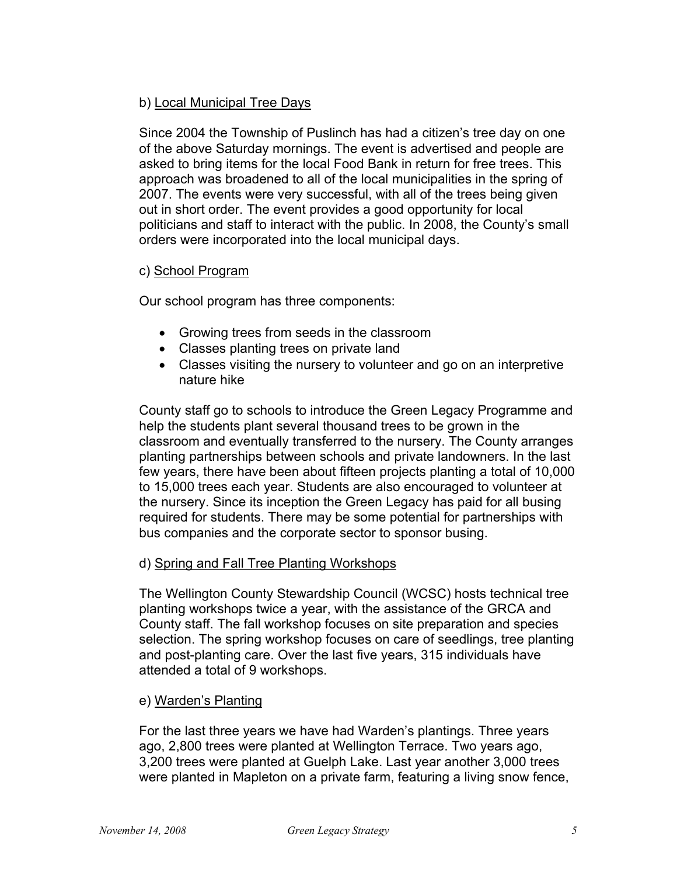# b) Local Municipal Tree Days

Since 2004 the Township of Puslinch has had a citizen's tree day on one of the above Saturday mornings. The event is advertised and people are asked to bring items for the local Food Bank in return for free trees. This approach was broadened to all of the local municipalities in the spring of 2007. The events were very successful, with all of the trees being given out in short order. The event provides a good opportunity for local politicians and staff to interact with the public. In 2008, the County's small orders were incorporated into the local municipal days.

#### c) School Program

Our school program has three components:

- Growing trees from seeds in the classroom
- Classes planting trees on private land
- Classes visiting the nursery to volunteer and go on an interpretive nature hike

County staff go to schools to introduce the Green Legacy Programme and help the students plant several thousand trees to be grown in the classroom and eventually transferred to the nursery. The County arranges planting partnerships between schools and private landowners. In the last few years, there have been about fifteen projects planting a total of 10,000 to 15,000 trees each year. Students are also encouraged to volunteer at the nursery. Since its inception the Green Legacy has paid for all busing required for students. There may be some potential for partnerships with bus companies and the corporate sector to sponsor busing.

# d) Spring and Fall Tree Planting Workshops

The Wellington County Stewardship Council (WCSC) hosts technical tree planting workshops twice a year, with the assistance of the GRCA and County staff. The fall workshop focuses on site preparation and species selection. The spring workshop focuses on care of seedlings, tree planting and post-planting care. Over the last five years, 315 individuals have attended a total of 9 workshops.

#### e) Warden's Planting

For the last three years we have had Warden's plantings. Three years ago, 2,800 trees were planted at Wellington Terrace. Two years ago, 3,200 trees were planted at Guelph Lake. Last year another 3,000 trees were planted in Mapleton on a private farm, featuring a living snow fence,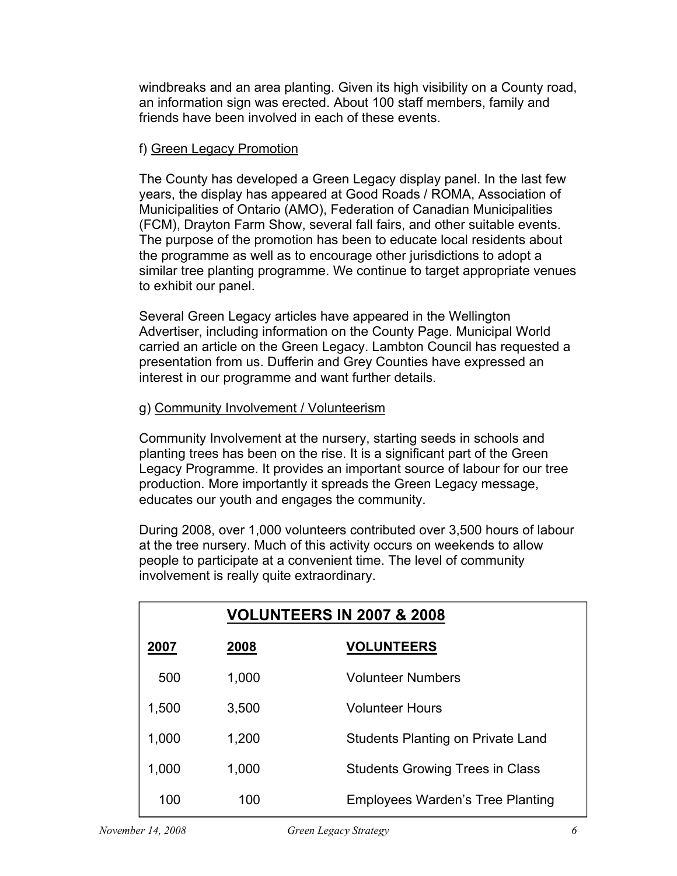windbreaks and an area planting. Given its high visibility on a County road, an information sign was erected. About 100 staff members, family and friends have been involved in each of these events.

# f) Green Legacy Promotion

The County has developed a Green Legacy display panel. In the last few years, the display has appeared at Good Roads / ROMA, Association of Municipalities of Ontario (AMO), Federation of Canadian Municipalities (FCM), Drayton Farm Show, several fall fairs, and other suitable events. The purpose of the promotion has been to educate local residents about the programme as well as to encourage other jurisdictions to adopt a similar tree planting programme. We continue to target appropriate venues to exhibit our panel.

Several Green Legacy articles have appeared in the Wellington Advertiser, including information on the County Page. Municipal World carried an article on the Green Legacy. Lambton Council has requested a presentation from us. Dufferin and Grey Counties have expressed an interest in our programme and want further details.

# g) Community Involvement / Volunteerism

Community Involvement at the nursery, starting seeds in schools and planting trees has been on the rise. It is a significant part of the Green Legacy Programme. It provides an important source of labour for our tree production. More importantly it spreads the Green Legacy message, educates our youth and engages the community.

During 2008, over 1,000 volunteers contributed over 3,500 hours of labour at the tree nursery. Much of this activity occurs on weekends to allow people to participate at a convenient time. The level of community involvement is really quite extraordinary.

|       | <b>VOLUNTEERS IN 2007 &amp; 2008</b> |                                          |  |  |
|-------|--------------------------------------|------------------------------------------|--|--|
| 2007  | 2008                                 | <b>VOLUNTEERS</b>                        |  |  |
| 500   | 1,000                                | <b>Volunteer Numbers</b>                 |  |  |
| 1,500 | 3,500                                | <b>Volunteer Hours</b>                   |  |  |
| 1,000 | 1,200                                | <b>Students Planting on Private Land</b> |  |  |
| 1,000 | 1,000                                | <b>Students Growing Trees in Class</b>   |  |  |
| 100   | 100                                  | <b>Employees Warden's Tree Planting</b>  |  |  |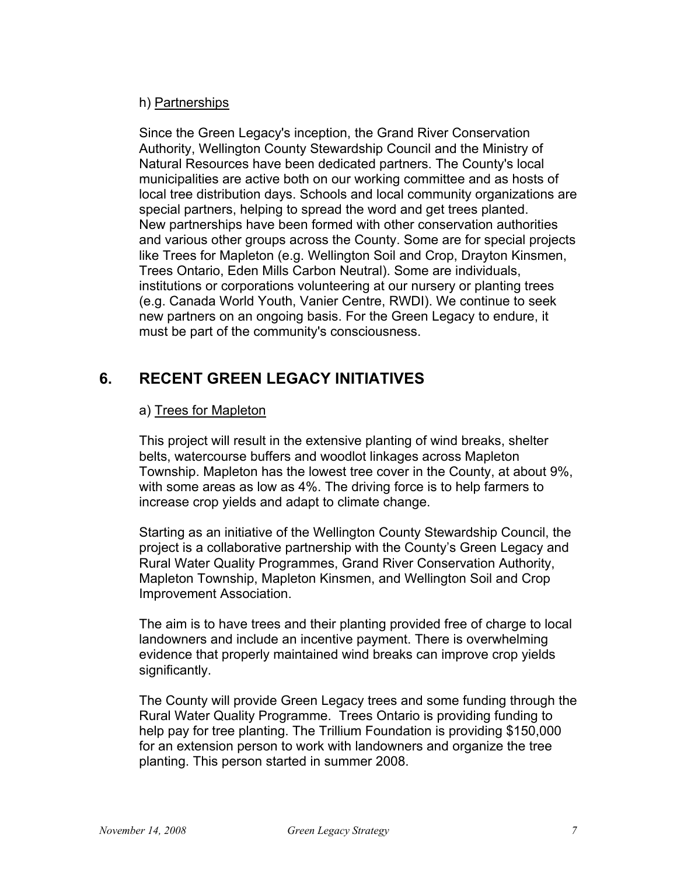# h) Partnerships

Since the Green Legacy's inception, the Grand River Conservation Authority, Wellington County Stewardship Council and the Ministry of Natural Resources have been dedicated partners. The County's local municipalities are active both on our working committee and as hosts of local tree distribution days. Schools and local community organizations are special partners, helping to spread the word and get trees planted. New partnerships have been formed with other conservation authorities and various other groups across the County. Some are for special projects like Trees for Mapleton (e.g. Wellington Soil and Crop, Drayton Kinsmen, Trees Ontario, Eden Mills Carbon Neutral). Some are individuals, institutions or corporations volunteering at our nursery or planting trees (e.g. Canada World Youth, Vanier Centre, RWDI). We continue to seek new partners on an ongoing basis. For the Green Legacy to endure, it must be part of the community's consciousness.

# **6. RECENT GREEN LEGACY INITIATIVES**

# a) Trees for Mapleton

This project will result in the extensive planting of wind breaks, shelter belts, watercourse buffers and woodlot linkages across Mapleton Township. Mapleton has the lowest tree cover in the County, at about 9%, with some areas as low as 4%. The driving force is to help farmers to increase crop yields and adapt to climate change.

Starting as an initiative of the Wellington County Stewardship Council, the project is a collaborative partnership with the County's Green Legacy and Rural Water Quality Programmes, Grand River Conservation Authority, Mapleton Township, Mapleton Kinsmen, and Wellington Soil and Crop Improvement Association.

The aim is to have trees and their planting provided free of charge to local landowners and include an incentive payment. There is overwhelming evidence that properly maintained wind breaks can improve crop yields significantly.

The County will provide Green Legacy trees and some funding through the Rural Water Quality Programme. Trees Ontario is providing funding to help pay for tree planting. The Trillium Foundation is providing \$150,000 for an extension person to work with landowners and organize the tree planting. This person started in summer 2008.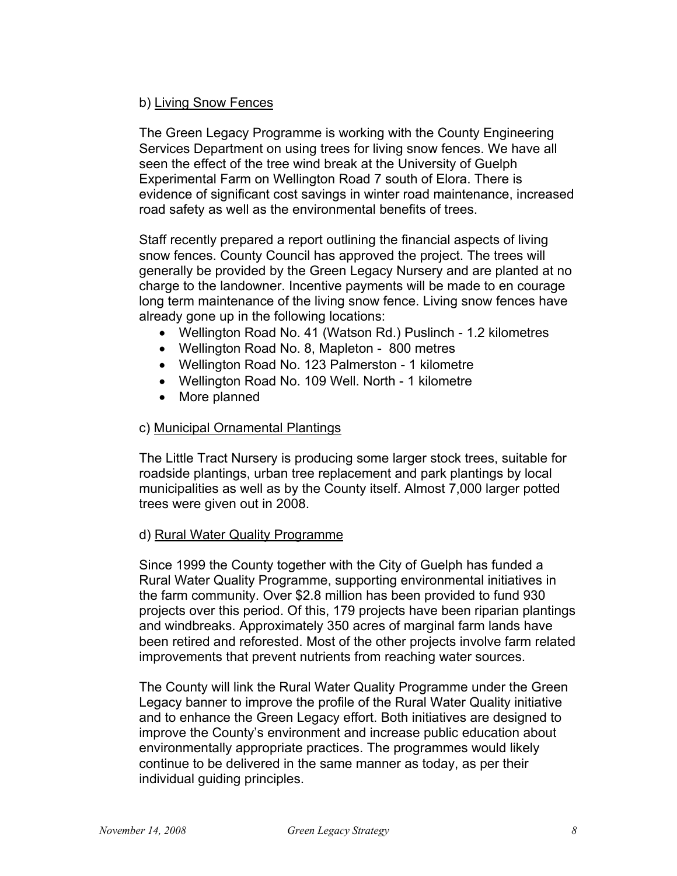# b) Living Snow Fences

The Green Legacy Programme is working with the County Engineering Services Department on using trees for living snow fences. We have all seen the effect of the tree wind break at the University of Guelph Experimental Farm on Wellington Road 7 south of Elora. There is evidence of significant cost savings in winter road maintenance, increased road safety as well as the environmental benefits of trees.

Staff recently prepared a report outlining the financial aspects of living snow fences. County Council has approved the project. The trees will generally be provided by the Green Legacy Nursery and are planted at no charge to the landowner. Incentive payments will be made to en courage long term maintenance of the living snow fence. Living snow fences have already gone up in the following locations:

- Wellington Road No. 41 (Watson Rd.) Puslinch 1.2 kilometres
- Wellington Road No. 8, Mapleton 800 metres
- Wellington Road No. 123 Palmerston 1 kilometre
- Wellington Road No. 109 Well. North 1 kilometre
- More planned

# c) Municipal Ornamental Plantings

The Little Tract Nursery is producing some larger stock trees, suitable for roadside plantings, urban tree replacement and park plantings by local municipalities as well as by the County itself. Almost 7,000 larger potted trees were given out in 2008.

# d) Rural Water Quality Programme

Since 1999 the County together with the City of Guelph has funded a Rural Water Quality Programme, supporting environmental initiatives in the farm community. Over \$2.8 million has been provided to fund 930 projects over this period. Of this, 179 projects have been riparian plantings and windbreaks. Approximately 350 acres of marginal farm lands have been retired and reforested. Most of the other projects involve farm related improvements that prevent nutrients from reaching water sources.

The County will link the Rural Water Quality Programme under the Green Legacy banner to improve the profile of the Rural Water Quality initiative and to enhance the Green Legacy effort. Both initiatives are designed to improve the County's environment and increase public education about environmentally appropriate practices. The programmes would likely continue to be delivered in the same manner as today, as per their individual guiding principles.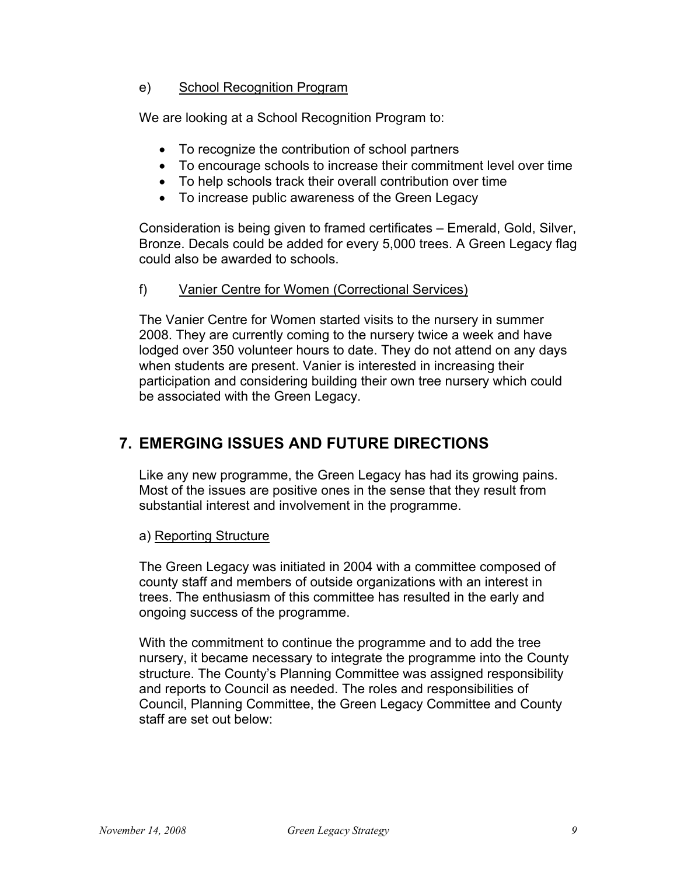# e) School Recognition Program

We are looking at a School Recognition Program to:

- To recognize the contribution of school partners
- To encourage schools to increase their commitment level over time
- To help schools track their overall contribution over time
- To increase public awareness of the Green Legacy

Consideration is being given to framed certificates – Emerald, Gold, Silver, Bronze. Decals could be added for every 5,000 trees. A Green Legacy flag could also be awarded to schools.

# f) Vanier Centre for Women (Correctional Services)

The Vanier Centre for Women started visits to the nursery in summer 2008. They are currently coming to the nursery twice a week and have lodged over 350 volunteer hours to date. They do not attend on any days when students are present. Vanier is interested in increasing their participation and considering building their own tree nursery which could be associated with the Green Legacy.

# **7. EMERGING ISSUES AND FUTURE DIRECTIONS**

Like any new programme, the Green Legacy has had its growing pains. Most of the issues are positive ones in the sense that they result from substantial interest and involvement in the programme.

# a) Reporting Structure

The Green Legacy was initiated in 2004 with a committee composed of county staff and members of outside organizations with an interest in trees. The enthusiasm of this committee has resulted in the early and ongoing success of the programme.

With the commitment to continue the programme and to add the tree nursery, it became necessary to integrate the programme into the County structure. The County's Planning Committee was assigned responsibility and reports to Council as needed. The roles and responsibilities of Council, Planning Committee, the Green Legacy Committee and County staff are set out below: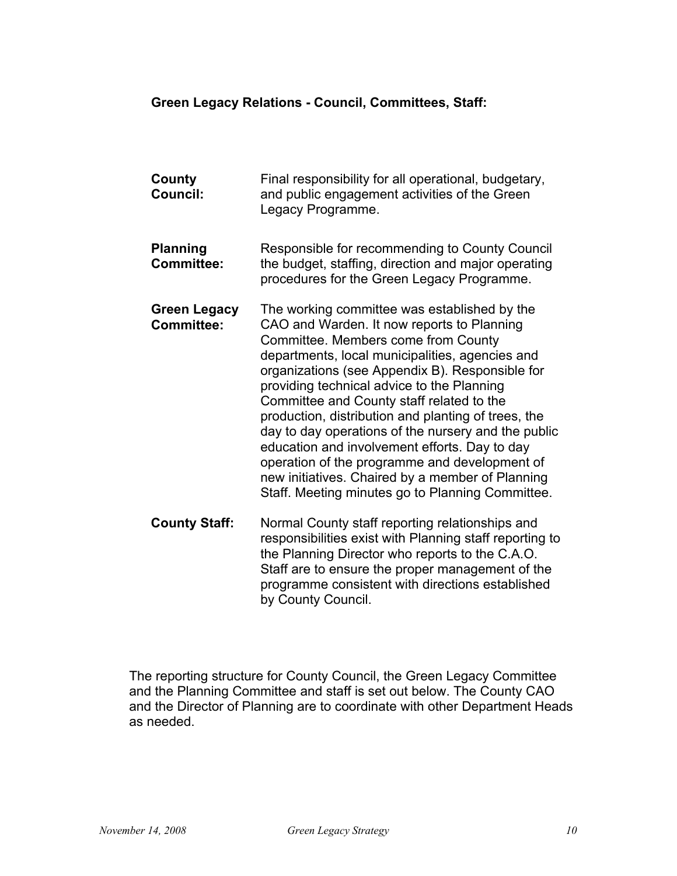- **County Council:**  Final responsibility for all operational, budgetary, and public engagement activities of the Green Legacy Programme. **Planning Committee:**  Responsible for recommending to County Council the budget, staffing, direction and major operating procedures for the Green Legacy Programme. **Green Legacy Committee:**  The working committee was established by the CAO and Warden. It now reports to Planning Committee. Members come from County departments, local municipalities, agencies and organizations (see Appendix B). Responsible for providing technical advice to the Planning Committee and County staff related to the production, distribution and planting of trees, the day to day operations of the nursery and the public education and involvement efforts. Day to day operation of the programme and development of new initiatives. Chaired by a member of Planning Staff. Meeting minutes go to Planning Committee. **County Staff:** Normal County staff reporting relationships and responsibilities exist with Planning staff reporting to
- the Planning Director who reports to the C.A.O. Staff are to ensure the proper management of the programme consistent with directions established by County Council.

The reporting structure for County Council, the Green Legacy Committee and the Planning Committee and staff is set out below. The County CAO and the Director of Planning are to coordinate with other Department Heads as needed.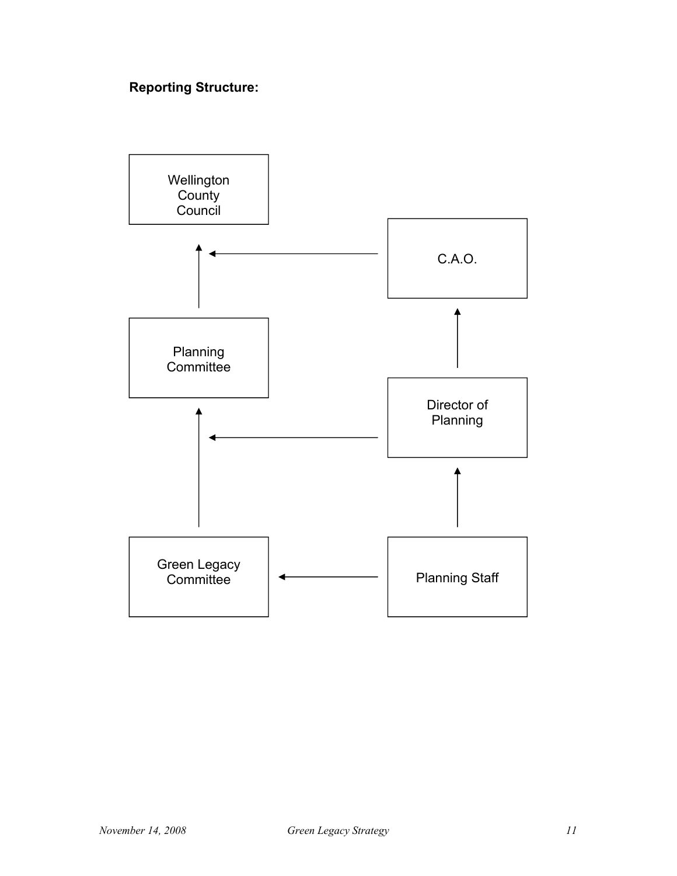# **Reporting Structure:**

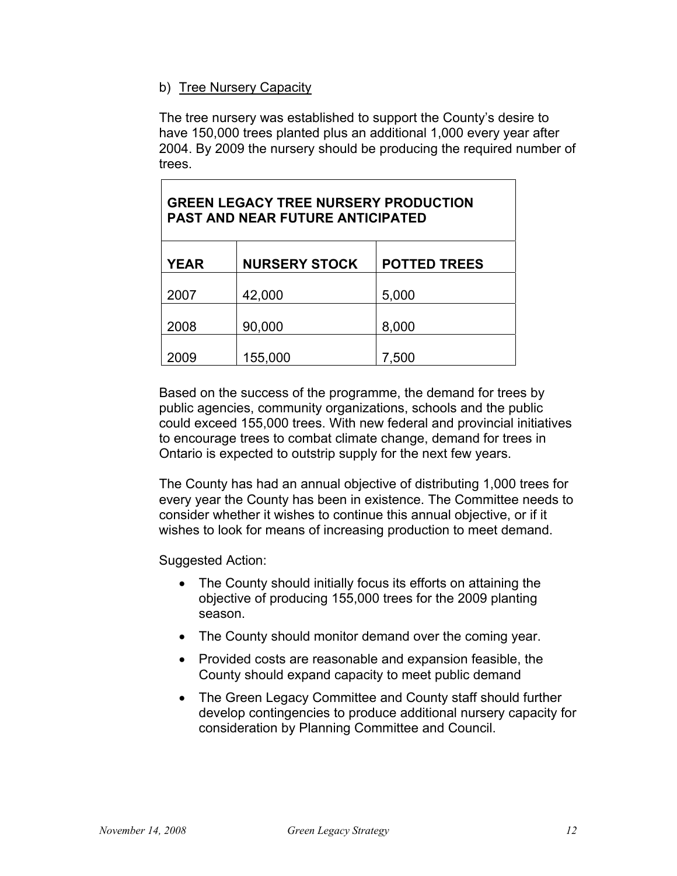# b) Tree Nursery Capacity

Г

The tree nursery was established to support the County's desire to have 150,000 trees planted plus an additional 1,000 every year after 2004. By 2009 the nursery should be producing the required number of trees.

| <b>GREEN LEGACY TREE NURSERY PRODUCTION</b><br><b>PAST AND NEAR FUTURE ANTICIPATED</b> |                      |                     |  |  |  |  |
|----------------------------------------------------------------------------------------|----------------------|---------------------|--|--|--|--|
| <b>YEAR</b>                                                                            | <b>NURSERY STOCK</b> | <b>POTTED TREES</b> |  |  |  |  |
| 2007                                                                                   | 42,000               | 5,000               |  |  |  |  |
| 2008                                                                                   | 90,000               | 8,000               |  |  |  |  |
| 2009                                                                                   | 155,000              | 7,500               |  |  |  |  |

Based on the success of the programme, the demand for trees by public agencies, community organizations, schools and the public could exceed 155,000 trees. With new federal and provincial initiatives to encourage trees to combat climate change, demand for trees in Ontario is expected to outstrip supply for the next few years.

The County has had an annual objective of distributing 1,000 trees for every year the County has been in existence. The Committee needs to consider whether it wishes to continue this annual objective, or if it wishes to look for means of increasing production to meet demand.

Suggested Action:

- The County should initially focus its efforts on attaining the objective of producing 155,000 trees for the 2009 planting season.
- The County should monitor demand over the coming year.
- Provided costs are reasonable and expansion feasible, the County should expand capacity to meet public demand
- The Green Legacy Committee and County staff should further develop contingencies to produce additional nursery capacity for consideration by Planning Committee and Council.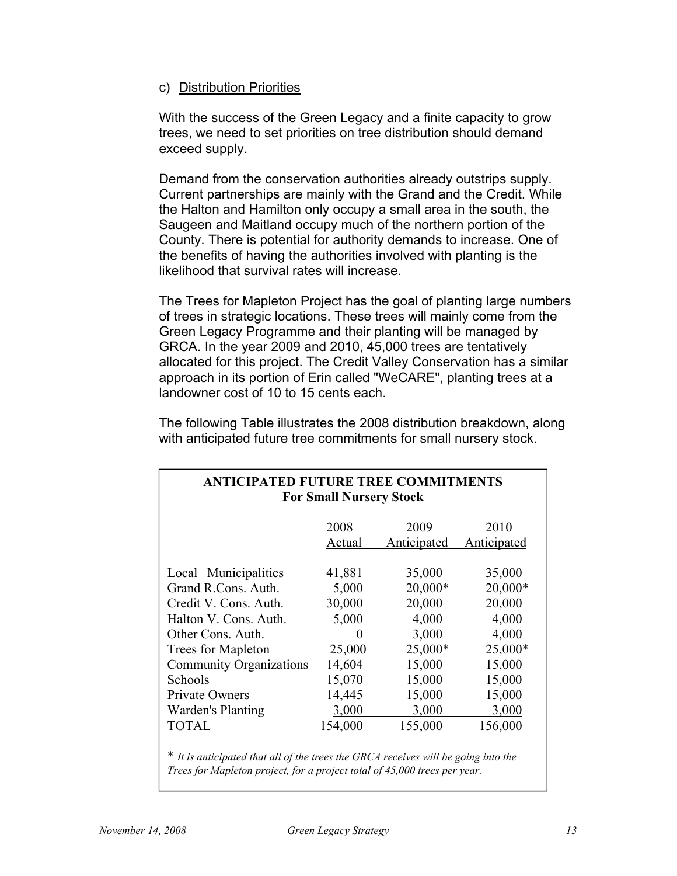### c) Distribution Priorities

With the success of the Green Legacy and a finite capacity to grow trees, we need to set priorities on tree distribution should demand exceed supply.

Demand from the conservation authorities already outstrips supply. Current partnerships are mainly with the Grand and the Credit. While the Halton and Hamilton only occupy a small area in the south, the Saugeen and Maitland occupy much of the northern portion of the County. There is potential for authority demands to increase. One of the benefits of having the authorities involved with planting is the likelihood that survival rates will increase.

The Trees for Mapleton Project has the goal of planting large numbers of trees in strategic locations. These trees will mainly come from the Green Legacy Programme and their planting will be managed by GRCA. In the year 2009 and 2010, 45,000 trees are tentatively allocated for this project. The Credit Valley Conservation has a similar approach in its portion of Erin called "WeCARE", planting trees at a landowner cost of 10 to 15 cents each.

The following Table illustrates the 2008 distribution breakdown, along with anticipated future tree commitments for small nursery stock.

| <b>ANTICIPATED FUTURE TREE COMMITMENTS</b><br><b>For Small Nursery Stock</b> |              |             |             |  |  |
|------------------------------------------------------------------------------|--------------|-------------|-------------|--|--|
|                                                                              | 2008         | 2009        | 2010        |  |  |
|                                                                              | Actual       | Anticipated | Anticipated |  |  |
| Local Municipalities                                                         | 41,881       | 35,000      | 35,000      |  |  |
| Grand R.Cons. Auth.                                                          | 5,000        | $20,000*$   | $20,000*$   |  |  |
| Credit V. Cons. Auth.                                                        | 30,000       | 20,000      | 20,000      |  |  |
| Halton V. Cons. Auth.                                                        | 5,000        | 4,000       | 4,000       |  |  |
| Other Cons. Auth.                                                            | $\mathbf{0}$ | 3,000       | 4,000       |  |  |
| Trees for Mapleton                                                           | 25,000       | $25,000*$   | $25,000*$   |  |  |
| <b>Community Organizations</b>                                               | 14,604       | 15,000      | 15,000      |  |  |
| Schools                                                                      | 15,070       | 15,000      | 15,000      |  |  |
| <b>Private Owners</b>                                                        | 14,445       | 15,000      | 15,000      |  |  |
| Warden's Planting                                                            | 3,000        | 3,000       | 3,000       |  |  |
| <b>TOTAL</b>                                                                 | 154,000      | 155,000     | 156,000     |  |  |
|                                                                              |              |             |             |  |  |

\* *It is anticipated that all of the trees the GRCA receives will be going into the Trees for Mapleton project, for a project total of 45,000 trees per year.*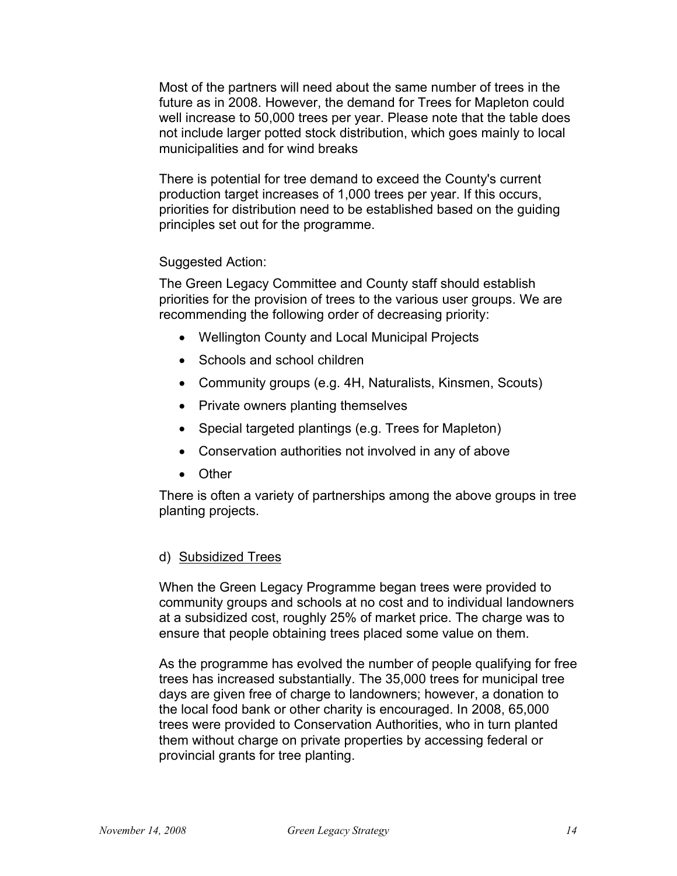Most of the partners will need about the same number of trees in the future as in 2008. However, the demand for Trees for Mapleton could well increase to 50,000 trees per year. Please note that the table does not include larger potted stock distribution, which goes mainly to local municipalities and for wind breaks

There is potential for tree demand to exceed the County's current production target increases of 1,000 trees per year. If this occurs, priorities for distribution need to be established based on the guiding principles set out for the programme.

Suggested Action:

The Green Legacy Committee and County staff should establish priorities for the provision of trees to the various user groups. We are recommending the following order of decreasing priority:

- Wellington County and Local Municipal Projects
- Schools and school children
- Community groups (e.g. 4H, Naturalists, Kinsmen, Scouts)
- Private owners planting themselves
- Special targeted plantings (e.g. Trees for Mapleton)
- Conservation authorities not involved in any of above
- Other

There is often a variety of partnerships among the above groups in tree planting projects.

#### d) Subsidized Trees

When the Green Legacy Programme began trees were provided to community groups and schools at no cost and to individual landowners at a subsidized cost, roughly 25% of market price. The charge was to ensure that people obtaining trees placed some value on them.

As the programme has evolved the number of people qualifying for free trees has increased substantially. The 35,000 trees for municipal tree days are given free of charge to landowners; however, a donation to the local food bank or other charity is encouraged. In 2008, 65,000 trees were provided to Conservation Authorities, who in turn planted them without charge on private properties by accessing federal or provincial grants for tree planting.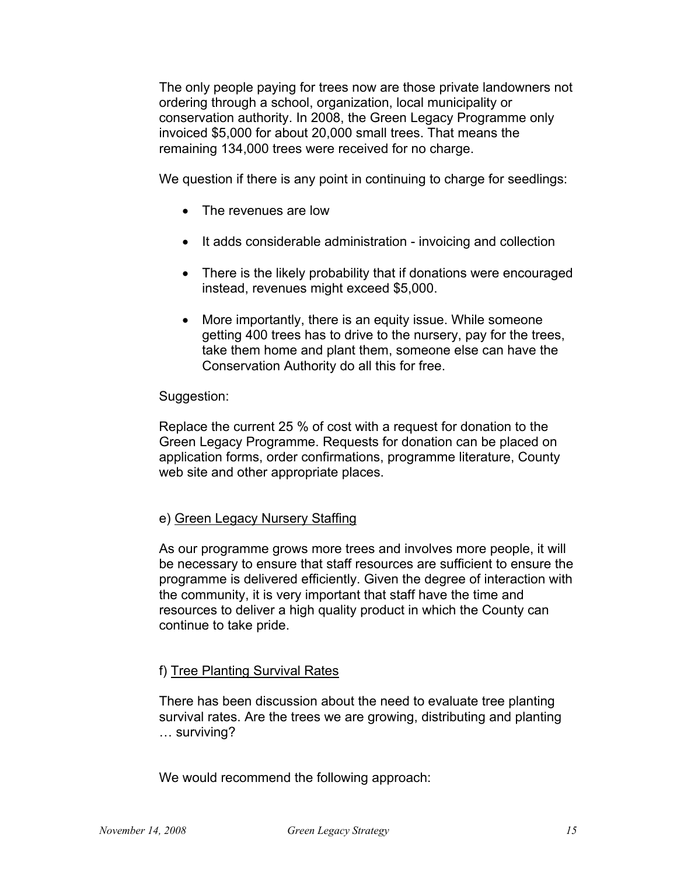The only people paying for trees now are those private landowners not ordering through a school, organization, local municipality or conservation authority. In 2008, the Green Legacy Programme only invoiced \$5,000 for about 20,000 small trees. That means the remaining 134,000 trees were received for no charge.

We question if there is any point in continuing to charge for seedlings:

- The revenues are low
- It adds considerable administration invoicing and collection
- There is the likely probability that if donations were encouraged instead, revenues might exceed \$5,000.
- More importantly, there is an equity issue. While someone getting 400 trees has to drive to the nursery, pay for the trees, take them home and plant them, someone else can have the Conservation Authority do all this for free.

#### Suggestion:

Replace the current 25 % of cost with a request for donation to the Green Legacy Programme. Requests for donation can be placed on application forms, order confirmations, programme literature, County web site and other appropriate places.

# e) Green Legacy Nursery Staffing

As our programme grows more trees and involves more people, it will be necessary to ensure that staff resources are sufficient to ensure the programme is delivered efficiently. Given the degree of interaction with the community, it is very important that staff have the time and resources to deliver a high quality product in which the County can continue to take pride.

# f) Tree Planting Survival Rates

There has been discussion about the need to evaluate tree planting survival rates. Are the trees we are growing, distributing and planting … surviving?

We would recommend the following approach: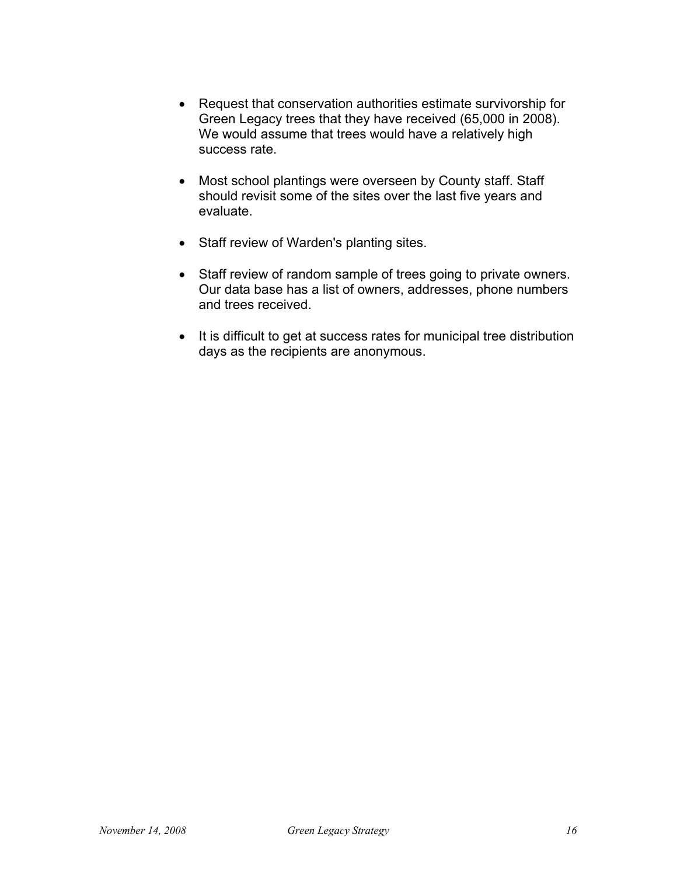- Request that conservation authorities estimate survivorship for Green Legacy trees that they have received (65,000 in 2008). We would assume that trees would have a relatively high success rate.
- Most school plantings were overseen by County staff. Staff should revisit some of the sites over the last five years and evaluate.
- Staff review of Warden's planting sites.
- Staff review of random sample of trees going to private owners. Our data base has a list of owners, addresses, phone numbers and trees received.
- It is difficult to get at success rates for municipal tree distribution days as the recipients are anonymous.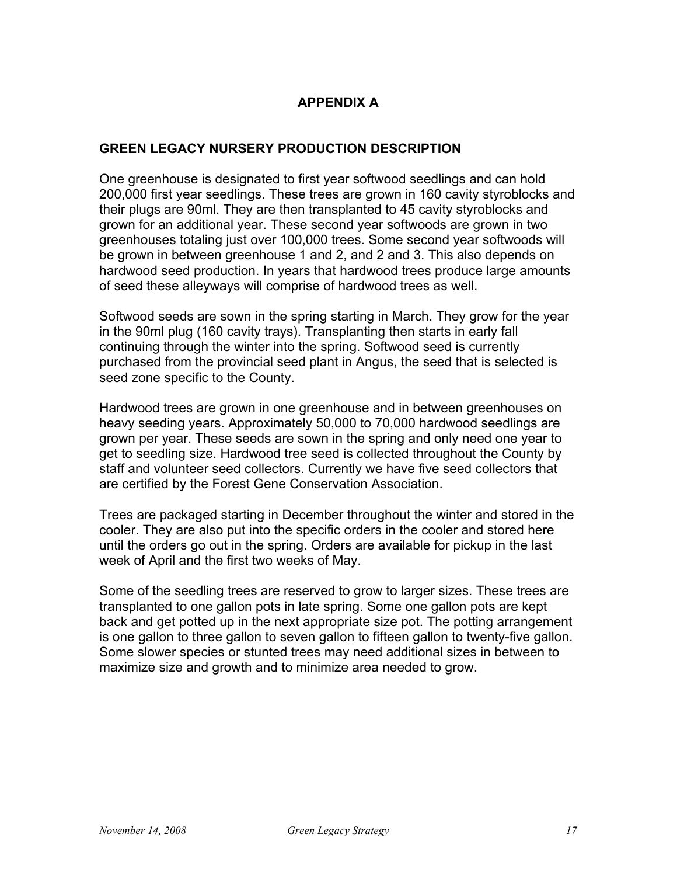# **APPENDIX A**

# **GREEN LEGACY NURSERY PRODUCTION DESCRIPTION**

One greenhouse is designated to first year softwood seedlings and can hold 200,000 first year seedlings. These trees are grown in 160 cavity styroblocks and their plugs are 90ml. They are then transplanted to 45 cavity styroblocks and grown for an additional year. These second year softwoods are grown in two greenhouses totaling just over 100,000 trees. Some second year softwoods will be grown in between greenhouse 1 and 2, and 2 and 3. This also depends on hardwood seed production. In years that hardwood trees produce large amounts of seed these alleyways will comprise of hardwood trees as well.

Softwood seeds are sown in the spring starting in March. They grow for the year in the 90ml plug (160 cavity trays). Transplanting then starts in early fall continuing through the winter into the spring. Softwood seed is currently purchased from the provincial seed plant in Angus, the seed that is selected is seed zone specific to the County.

Hardwood trees are grown in one greenhouse and in between greenhouses on heavy seeding years. Approximately 50,000 to 70,000 hardwood seedlings are grown per year. These seeds are sown in the spring and only need one year to get to seedling size. Hardwood tree seed is collected throughout the County by staff and volunteer seed collectors. Currently we have five seed collectors that are certified by the Forest Gene Conservation Association.

Trees are packaged starting in December throughout the winter and stored in the cooler. They are also put into the specific orders in the cooler and stored here until the orders go out in the spring. Orders are available for pickup in the last week of April and the first two weeks of May.

Some of the seedling trees are reserved to grow to larger sizes. These trees are transplanted to one gallon pots in late spring. Some one gallon pots are kept back and get potted up in the next appropriate size pot. The potting arrangement is one gallon to three gallon to seven gallon to fifteen gallon to twenty-five gallon. Some slower species or stunted trees may need additional sizes in between to maximize size and growth and to minimize area needed to grow.